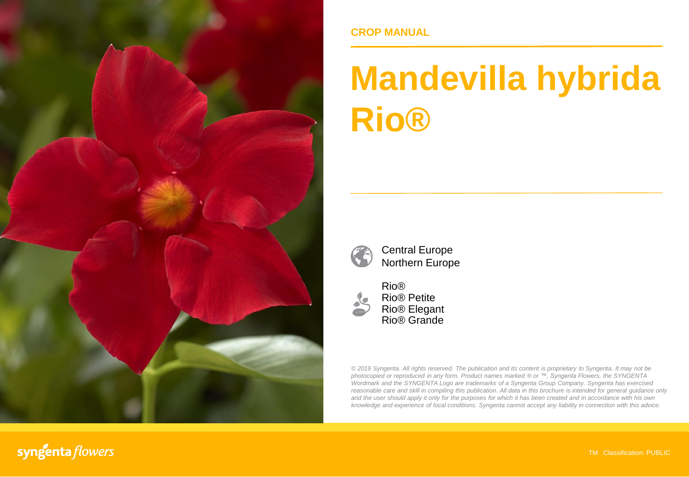

### **CROP MANUAL**

# **Mandevilla hybrida Rio®**



Central Europe Northern Europe



Rio® Rio® Petite Rio® Elegant Rio® Grande

*© 2019 Syngenta. All rights reserved. The publication and its content is proprietary to Syngenta. It may not be photocopied or reproduced in any form. Product names marked ® or ™, Syngenta Flowers, the SYNGENTA Wordmark and the SYNGENTA Logo are trademarks of a Syngenta Group Company. Syngenta has exercised reasonable care and skill in compiling this publication. All data in this brochure is intended for general guidance only* and the user should apply it only for the purposes for which it has been created and in accordance with his own *knowledge and experience of local conditions. Syngenta cannot accept any liability in connection with this advice.*

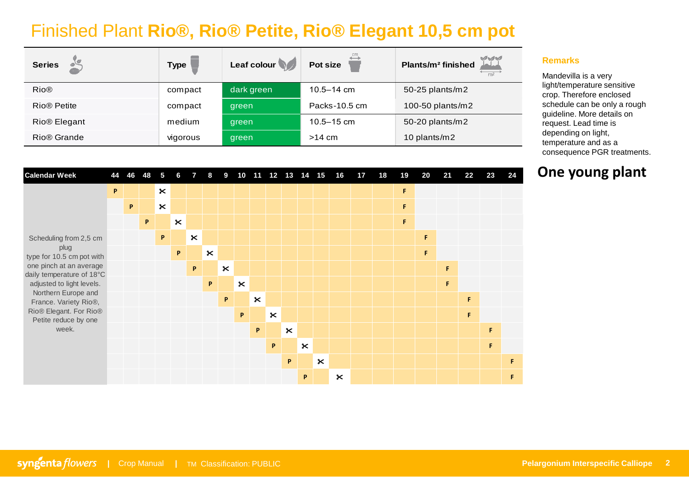## Finished Plant **Rio®, Rio® Petite, Rio® Elegant 10,5 cm pot**

| <b>Series</b>            | Type     | Leaf colour | Pot size       | $\sqrt{3}$<br>Plants/m <sup>2</sup> finished<br>m <sup>2</sup> |
|--------------------------|----------|-------------|----------------|----------------------------------------------------------------|
| <b>Rio®</b>              | compact  | dark green  | $10.5 - 14$ cm | 50-25 plants/m2                                                |
| Rio <sup>®</sup> Petite  | compact  | green       | Packs-10.5 cm  | 100-50 plants/m2                                               |
| Rio <sup>®</sup> Elegant | medium   | green       | $10.5 - 15$ cm | 50-20 plants/m2                                                |
| Rio <sup>®</sup> Grande  | vigorous | green       | $>14$ cm       | 10 plants/m2                                                   |

| <b>Calendar Week</b>                                 | 44 |    | 46 48       | 5                     | 6                     | $7 -$                 | 8              |                       |                       |                |                       |                       |                       |                    | 9 10 11 12 13 14 15 16 | 17 | 18 | 19 | 20 | 21 | 22 | 23 | 24 |
|------------------------------------------------------|----|----|-------------|-----------------------|-----------------------|-----------------------|----------------|-----------------------|-----------------------|----------------|-----------------------|-----------------------|-----------------------|--------------------|------------------------|----|----|----|----|----|----|----|----|
|                                                      | P  |    |             | $\pmb{\times}$        |                       |                       |                |                       |                       |                |                       |                       |                       |                    |                        |    |    | F  |    |    |    |    |    |
|                                                      |    | P. |             | $\boldsymbol{\times}$ |                       |                       |                |                       |                       |                |                       |                       |                       |                    |                        |    |    | F  |    |    |    |    |    |
|                                                      |    |    | $\mathsf P$ |                       | $\boldsymbol{\times}$ |                       |                |                       |                       |                |                       |                       |                       |                    |                        |    |    | F  |    |    |    |    |    |
| Scheduling from 2,5 cm                               |    |    |             | P                     |                       | $\boldsymbol{\times}$ |                |                       |                       |                |                       |                       |                       |                    |                        |    |    |    | F  |    |    |    |    |
| plug<br>type for 10.5 cm pot with                    |    |    |             |                       | P                     |                       | $\pmb{\times}$ |                       |                       |                |                       |                       |                       |                    |                        |    |    |    | F  |    |    |    |    |
| one pinch at an average<br>daily temperature of 18°C |    |    |             |                       |                       | P                     |                | $\boldsymbol{\times}$ |                       |                |                       |                       |                       |                    |                        |    |    |    |    | F  |    |    |    |
| adjusted to light levels.                            |    |    |             |                       |                       |                       | P              |                       | $\boldsymbol{\times}$ |                |                       |                       |                       |                    |                        |    |    |    |    | F  |    |    |    |
| Northern Europe and<br>France. Variety Rio®,         |    |    |             |                       |                       |                       |                | P                     |                       | $\pmb{\times}$ |                       |                       |                       |                    |                        |    |    |    |    |    | F  |    |    |
| Rio® Elegant. For Rio®<br>Petite reduce by one       |    |    |             |                       |                       |                       |                |                       | P                     |                | $\boldsymbol{\times}$ |                       |                       |                    |                        |    |    |    |    |    | F. |    |    |
| week.                                                |    |    |             |                       |                       |                       |                |                       |                       | P              |                       | $\boldsymbol{\times}$ |                       |                    |                        |    |    |    |    |    |    | F. |    |
|                                                      |    |    |             |                       |                       |                       |                |                       |                       |                | P                     |                       | $\boldsymbol{\times}$ |                    |                        |    |    |    |    |    |    | F. |    |
|                                                      |    |    |             |                       |                       |                       |                |                       |                       |                |                       | P                     |                       | $\mathsf{\approx}$ |                        |    |    |    |    |    |    |    | F  |
|                                                      |    |    |             |                       |                       |                       |                |                       |                       |                |                       |                       | P                     |                    | $\mathbf{\mathbf{x}}$  |    |    |    |    |    |    |    | F  |

#### **Remarks**

Mandevilla is a very light/temperature sensitive crop. Therefore enclosed schedule can be only a rough guideline. More details on request. Lead time is depending on light, temperature and as a consequence PGR treatments.

## **One young plant**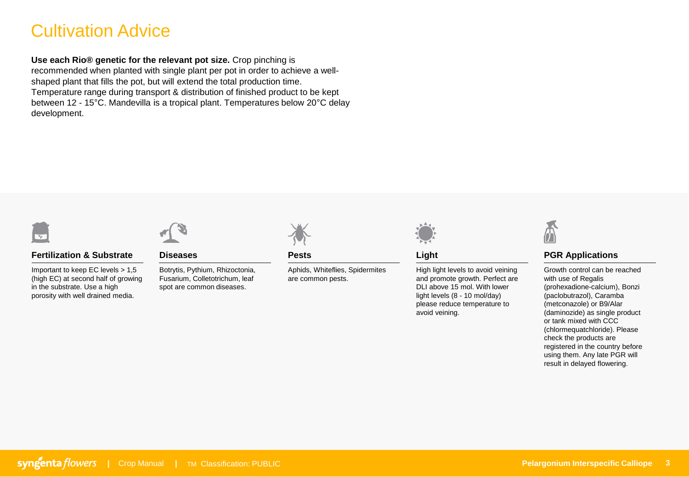## Cultivation Advice

**Use each Rio® genetic for the relevant pot size.** Crop pinching is recommended when planted with single plant per pot in order to achieve a wellshaped plant that fills the pot, but will extend the total production time. Temperature range during transport & distribution of finished product to be kept between 12 - 15°C. Mandevilla is a tropical plant. Temperatures below 20°C delay development.



#### **Fertilization & Substrate**

Important to keep EC levels > 1,5 (high EC) at second half of growing in the substrate. Use a high porosity with well drained media.



**Diseases**

Botrytis, Pythium, Rhizoctonia, Fusarium, Colletotrichum, leaf spot are common diseases.



**Pests**

Aphids, Whiteflies, Spidermites are common pests.



**Light**

High light levels to avoid veining and promote growth. Perfect are DLI above 15 mol. With lower light levels (8 - 10 mol/day) please reduce temperature to avoid veining.



#### **PGR Applications**

Growth control can be reached with use of Regalis (prohexadione-calcium), Bonzi (paclobutrazol), Caramba (metconazole) or B9/Alar (daminozide) as single product or tank mixed with CCC (chlormequatchloride). Please check the products are registered in the country before using them. Any late PGR will result in delayed flowering.